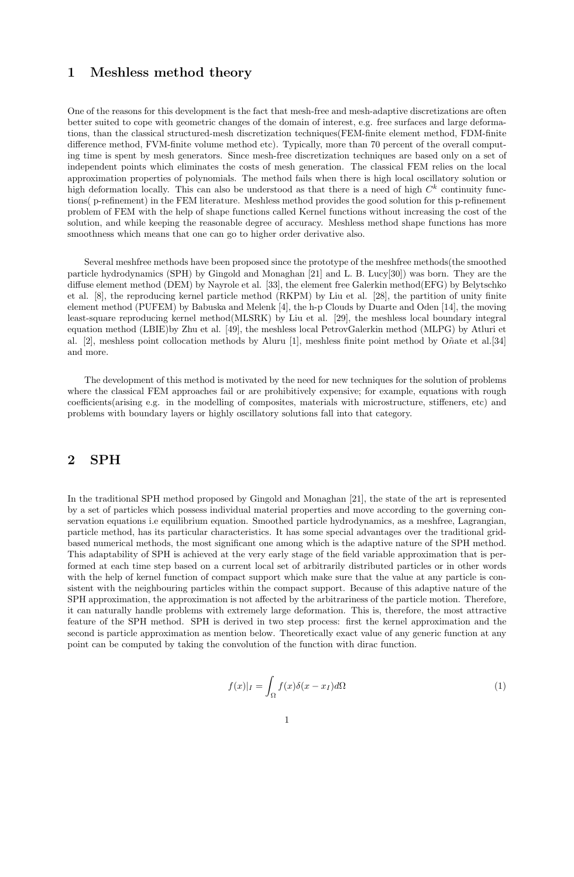### 1 Meshless method theory

One of the reasons for this development is the fact that mesh-free and mesh-adaptive discretizations are often better suited to cope with geometric changes of the domain of interest, e.g. free surfaces and large deformations, than the classical structured-mesh discretization techniques(FEM-finite element method, FDM-finite difference method, FVM-finite volume method etc). Typically, more than 70 percent of the overall computing time is spent by mesh generators. Since mesh-free discretization techniques are based only on a set of independent points which eliminates the costs of mesh generation. The classical FEM relies on the local approximation properties of polynomials. The method fails when there is high local oscillatory solution or high deformation locally. This can also be understood as that there is a need of high  $C<sup>k</sup>$  continuity functions( p-refinement) in the FEM literature. Meshless method provides the good solution for this p-refinement problem of FEM with the help of shape functions called Kernel functions without increasing the cost of the solution, and while keeping the reasonable degree of accuracy. Meshless method shape functions has more smoothness which means that one can go to higher order derivative also.

Several meshfree methods have been proposed since the prototype of the meshfree methods(the smoothed particle hydrodynamics (SPH) by Gingold and Monaghan [21] and L. B. Lucy[30]) was born. They are the diffuse element method (DEM) by Nayrole et al. [33], the element free Galerkin method(EFG) by Belytschko et al. [8], the reproducing kernel particle method (RKPM) by Liu et al. [28], the partition of unity finite element method (PUFEM) by Babuska and Melenk [4], the h-p Clouds by Duarte and Oden [14], the moving least-square reproducing kernel method(MLSRK) by Liu et al. [29], the meshless local boundary integral equation method (LBIE)by Zhu et al. [49], the meshless local PetrovGalerkin method (MLPG) by Atluri et al. [2], meshless point collocation methods by Aluru [1], meshless finite point method by  $\widehat{O}$ nate et al. [34] and more.

The development of this method is motivated by the need for new techniques for the solution of problems where the classical FEM approaches fail or are prohibitively expensive; for example, equations with rough coefficients(arising e.g. in the modelling of composites, materials with microstructure, stiffeners, etc) and problems with boundary layers or highly oscillatory solutions fall into that category.

# 2 SPH

In the traditional SPH method proposed by Gingold and Monaghan [21], the state of the art is represented by a set of particles which possess individual material properties and move according to the governing conservation equations i.e equilibrium equation. Smoothed particle hydrodynamics, as a meshfree, Lagrangian, particle method, has its particular characteristics. It has some special advantages over the traditional gridbased numerical methods, the most significant one among which is the adaptive nature of the SPH method. This adaptability of SPH is achieved at the very early stage of the field variable approximation that is performed at each time step based on a current local set of arbitrarily distributed particles or in other words with the help of kernel function of compact support which make sure that the value at any particle is consistent with the neighbouring particles within the compact support. Because of this adaptive nature of the SPH approximation, the approximation is not affected by the arbitrariness of the particle motion. Therefore, it can naturally handle problems with extremely large deformation. This is, therefore, the most attractive feature of the SPH method. SPH is derived in two step process: first the kernel approximation and the second is particle approximation as mention below. Theoretically exact value of any generic function at any point can be computed by taking the convolution of the function with dirac function.

$$
f(x)|_I = \int_{\Omega} f(x)\delta(x - x_I)d\Omega
$$
 (1)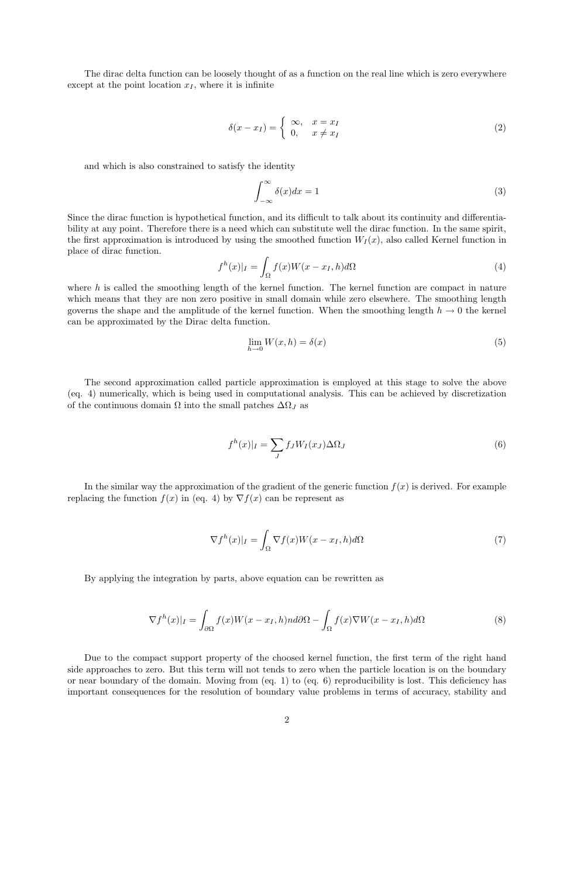The dirac delta function can be loosely thought of as a function on the real line which is zero everywhere except at the point location  $x_I$ , where it is infinite

$$
\delta(x - x_I) = \begin{cases} \infty, & x = x_I \\ 0, & x \neq x_I \end{cases}
$$
 (2)

and which is also constrained to satisfy the identity

$$
\int_{-\infty}^{\infty} \delta(x) dx = 1
$$
\n(3)

Since the dirac function is hypothetical function, and its difficult to talk about its continuity and differentiability at any point. Therefore there is a need which can substitute well the dirac function. In the same spirit, the first approximation is introduced by using the smoothed function  $W_I(x)$ , also called Kernel function in place of dirac function.

$$
f^{h}(x)|_{I} = \int_{\Omega} f(x)W(x - x_{I}, h)d\Omega
$$
\n(4)

where  $h$  is called the smoothing length of the kernel function. The kernel function are compact in nature which means that they are non zero positive in small domain while zero elsewhere. The smoothing length governs the shape and the amplitude of the kernel function. When the smoothing length  $h \to 0$  the kernel can be approximated by the Dirac delta function.

$$
\lim_{h \to 0} W(x, h) = \delta(x) \tag{5}
$$

The second approximation called particle approximation is employed at this stage to solve the above (eq. 4) numerically, which is being used in computational analysis. This can be achieved by discretization of the continuous domain  $\Omega$  into the small patches  $\Delta\Omega_J$  as

$$
f^{h}(x)|_{I} = \sum_{J} f_{J} W_{I}(x_{J}) \Delta \Omega_{J}
$$
\n(6)

In the similar way the approximation of the gradient of the generic function  $f(x)$  is derived. For example replacing the function  $f(x)$  in (eq. 4) by  $\nabla f(x)$  can be represent as

$$
\nabla f^{h}(x)|_{I} = \int_{\Omega} \nabla f(x)W(x - x_{I}, h)d\Omega
$$
\n(7)

By applying the integration by parts, above equation can be rewritten as

$$
\nabla f^{h}(x)|_{I} = \int_{\partial\Omega} f(x)W(x - x_{I}, h)nd\partial\Omega - \int_{\Omega} f(x)\nabla W(x - x_{I}, h)d\Omega
$$
\n(8)

Due to the compact support property of the choosed kernel function, the first term of the right hand side approaches to zero. But this term will not tends to zero when the particle location is on the boundary or near boundary of the domain. Moving from (eq. 1) to (eq. 6) reproducibility is lost. This deficiency has important consequences for the resolution of boundary value problems in terms of accuracy, stability and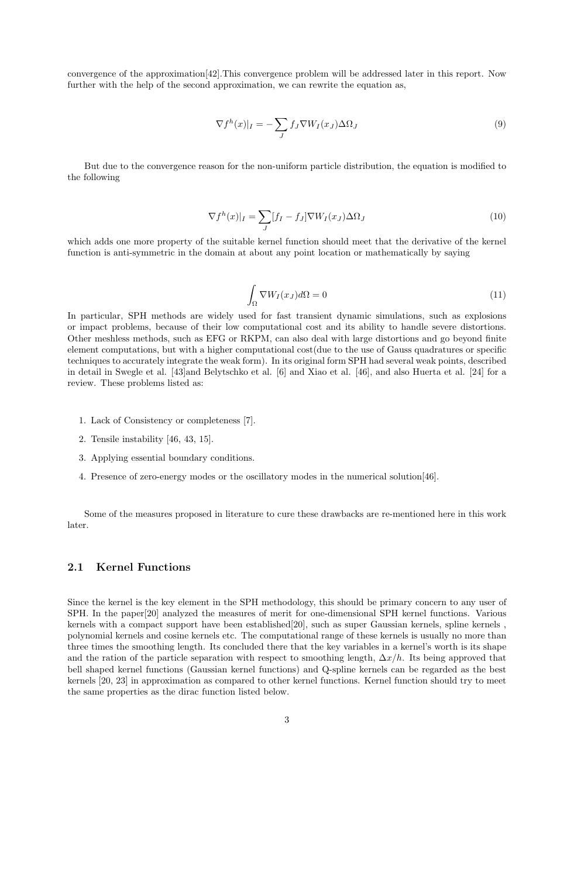convergence of the approximation[42].This convergence problem will be addressed later in this report. Now further with the help of the second approximation, we can rewrite the equation as,

$$
\nabla f^h(x)|_I = -\sum_J f_J \nabla W_I(x_J) \Delta \Omega_J \tag{9}
$$

But due to the convergence reason for the non-uniform particle distribution, the equation is modified to the following

$$
\nabla f^h(x)|_I = \sum_J [f_I - f_J] \nabla W_I(x_J) \Delta \Omega_J \tag{10}
$$

which adds one more property of the suitable kernel function should meet that the derivative of the kernel function is anti-symmetric in the domain at about any point location or mathematically by saying

$$
\int_{\Omega} \nabla W_I(x_J) d\Omega = 0 \tag{11}
$$

In particular, SPH methods are widely used for fast transient dynamic simulations, such as explosions or impact problems, because of their low computational cost and its ability to handle severe distortions. Other meshless methods, such as EFG or RKPM, can also deal with large distortions and go beyond finite element computations, but with a higher computational cost(due to the use of Gauss quadratures or specific techniques to accurately integrate the weak form). In its original form SPH had several weak points, described in detail in Swegle et al. [43]and Belytschko et al. [6] and Xiao et al. [46], and also Huerta et al. [24] for a review. These problems listed as:

- 1. Lack of Consistency or completeness [7].
- 2. Tensile instability [46, 43, 15].
- 3. Applying essential boundary conditions.
- 4. Presence of zero-energy modes or the oscillatory modes in the numerical solution[46].

Some of the measures proposed in literature to cure these drawbacks are re-mentioned here in this work later.

### 2.1 Kernel Functions

Since the kernel is the key element in the SPH methodology, this should be primary concern to any user of SPH. In the paper[20] analyzed the measures of merit for one-dimensional SPH kernel functions. Various kernels with a compact support have been established[20], such as super Gaussian kernels, spline kernels , polynomial kernels and cosine kernels etc. The computational range of these kernels is usually no more than three times the smoothing length. Its concluded there that the key variables in a kernel's worth is its shape and the ration of the particle separation with respect to smoothing length,  $\Delta x/h$ . Its being approved that bell shaped kernel functions (Gaussian kernel functions) and Q-spline kernels can be regarded as the best kernels [20, 23] in approximation as compared to other kernel functions. Kernel function should try to meet the same properties as the dirac function listed below.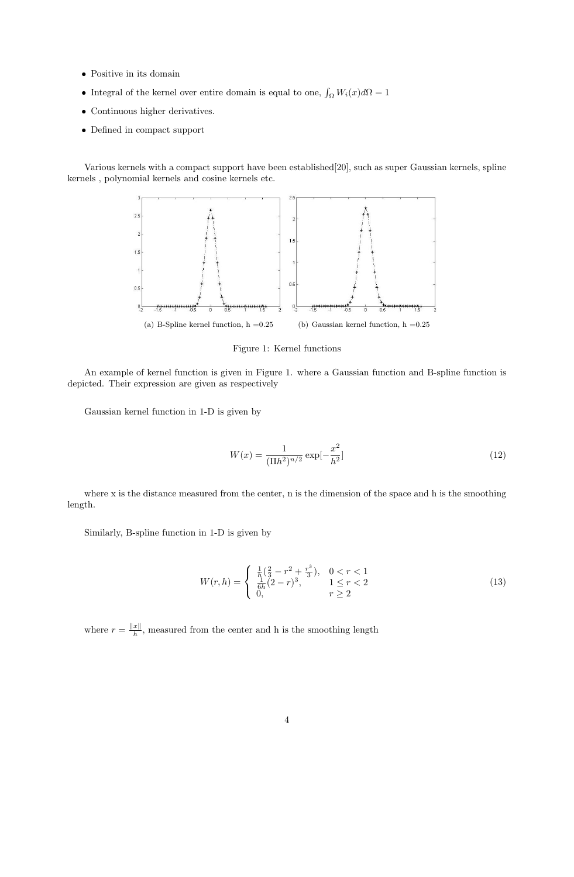- Positive in its domain
- Integral of the kernel over entire domain is equal to one,  $\int_{\Omega} W_i(x) d\Omega = 1$
- Continuous higher derivatives.
- Defined in compact support

Various kernels with a compact support have been established[20], such as super Gaussian kernels, spline kernels , polynomial kernels and cosine kernels etc.



Figure 1: Kernel functions

An example of kernel function is given in Figure 1. where a Gaussian function and B-spline function is depicted. Their expression are given as respectively

Gaussian kernel function in 1-D is given by

$$
W(x) = \frac{1}{(\Pi h^2)^{n/2}} \exp[-\frac{x^2}{h^2}]
$$
\n(12)

where x is the distance measured from the center, n is the dimension of the space and h is the smoothing length.

Similarly, B-spline function in 1-D is given by

$$
W(r,h) = \begin{cases} \frac{1}{h} \left( \frac{2}{3} - r^2 + \frac{r^3}{3} \right), & 0 < r < 1\\ \frac{1}{6h} (2-r)^3, & 1 \le r < 2\\ 0, & r \ge 2 \end{cases}
$$
(13)

where  $r = \frac{||x||}{h}$  $\frac{x_{\parallel}}{h}$ , measured from the center and h is the smoothing length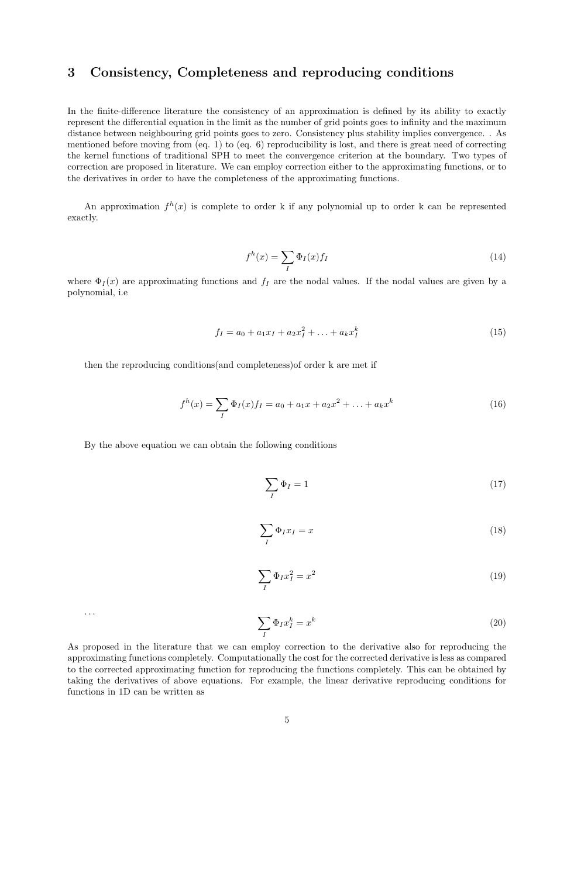# 3 Consistency, Completeness and reproducing conditions

In the finite-difference literature the consistency of an approximation is defined by its ability to exactly represent the differential equation in the limit as the number of grid points goes to infinity and the maximum distance between neighbouring grid points goes to zero. Consistency plus stability implies convergence. . As mentioned before moving from (eq. 1) to (eq. 6) reproducibility is lost, and there is great need of correcting the kernel functions of traditional SPH to meet the convergence criterion at the boundary. Two types of correction are proposed in literature. We can employ correction either to the approximating functions, or to the derivatives in order to have the completeness of the approximating functions.

An approximation  $f^h(x)$  is complete to order k if any polynomial up to order k can be represented exactly.

$$
f^h(x) = \sum_I \Phi_I(x) f_I \tag{14}
$$

where  $\Phi_I(x)$  are approximating functions and  $f_I$  are the nodal values. If the nodal values are given by a polynomial, i.e

$$
f_I = a_0 + a_1 x_I + a_2 x_I^2 + \ldots + a_k x_I^k
$$
\n(15)

then the reproducing conditions(and completeness)of order k are met if

$$
f^{h}(x) = \sum_{I} \Phi_{I}(x) f_{I} = a_{0} + a_{1}x + a_{2}x^{2} + \dots + a_{k}x^{k}
$$
 (16)

By the above equation we can obtain the following conditions

$$
\sum_{I} \Phi_{I} = 1 \tag{17}
$$

$$
\sum_{I} \Phi_{I} x_{I} = x \tag{18}
$$

$$
\sum_{I} \Phi_{I} x_{I}^{2} = x^{2} \tag{19}
$$

$$
\begin{array}{c}\n\cdots \\
\hline\n\end{array}
$$

$$
\sum_{I} \Phi_{I} x_{I}^{k} = x^{k} \tag{20}
$$

As proposed in the literature that we can employ correction to the derivative also for reproducing the approximating functions completely. Computationally the cost for the corrected derivative is less as compared to the corrected approximating function for reproducing the functions completely. This can be obtained by taking the derivatives of above equations. For example, the linear derivative reproducing conditions for functions in 1D can be written as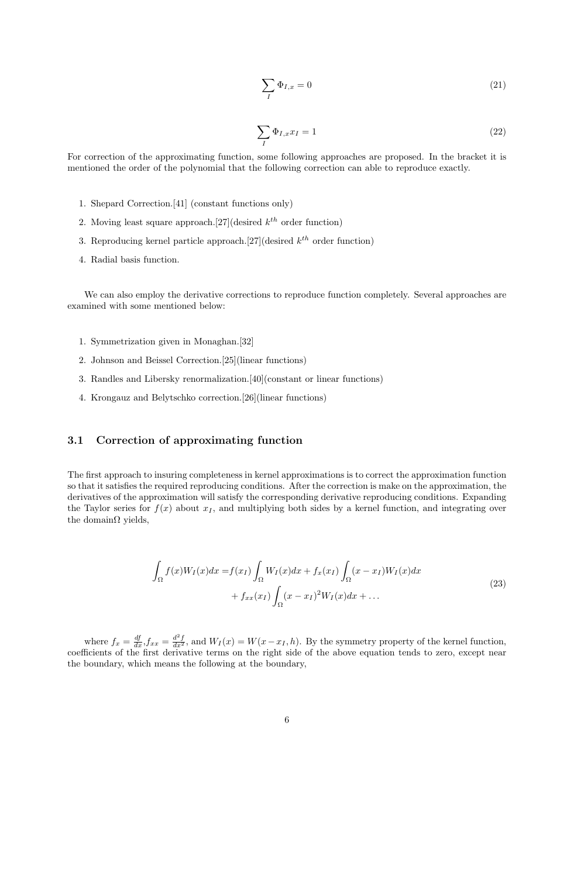$$
\sum_{I} \Phi_{I,x} = 0 \tag{21}
$$

$$
\sum_{I} \Phi_{I,x} x_I = 1 \tag{22}
$$

For correction of the approximating function, some following approaches are proposed. In the bracket it is mentioned the order of the polynomial that the following correction can able to reproduce exactly.

- 1. Shepard Correction.[41] (constant functions only)
- 2. Moving least square approach. [27] (desired  $k^{th}$  order function)
- 3. Reproducing kernel particle approach. [27] (desired  $k^{th}$  order function)
- 4. Radial basis function.

We can also employ the derivative corrections to reproduce function completely. Several approaches are examined with some mentioned below:

- 1. Symmetrization given in Monaghan.[32]
- 2. Johnson and Beissel Correction.[25](linear functions)
- 3. Randles and Libersky renormalization.[40](constant or linear functions)
- 4. Krongauz and Belytschko correction.[26](linear functions)

### 3.1 Correction of approximating function

The first approach to insuring completeness in kernel approximations is to correct the approximation function so that it satisfies the required reproducing conditions. After the correction is make on the approximation, the derivatives of the approximation will satisfy the corresponding derivative reproducing conditions. Expanding the Taylor series for  $f(x)$  about  $x<sub>I</sub>$ , and multiplying both sides by a kernel function, and integrating over the domain $\Omega$  yields,

$$
\int_{\Omega} f(x)W_I(x)dx = f(x_I) \int_{\Omega} W_I(x)dx + f_x(x_I) \int_{\Omega} (x - x_I)W_I(x)dx \n+ f_{xx}(x_I) \int_{\Omega} (x - x_I)^2 W_I(x)dx + ...
$$
\n(23)

where  $f_x = \frac{df}{dx} f_{xx} = \frac{d^2 f}{dx^2}$ , and  $W_I(x) = W(x - x_I, h)$ . By the symmetry property of the kernel function, coefficients of the first derivative terms on the right side of the above equation tends to zero, except near the boundary, which means the following at the boundary,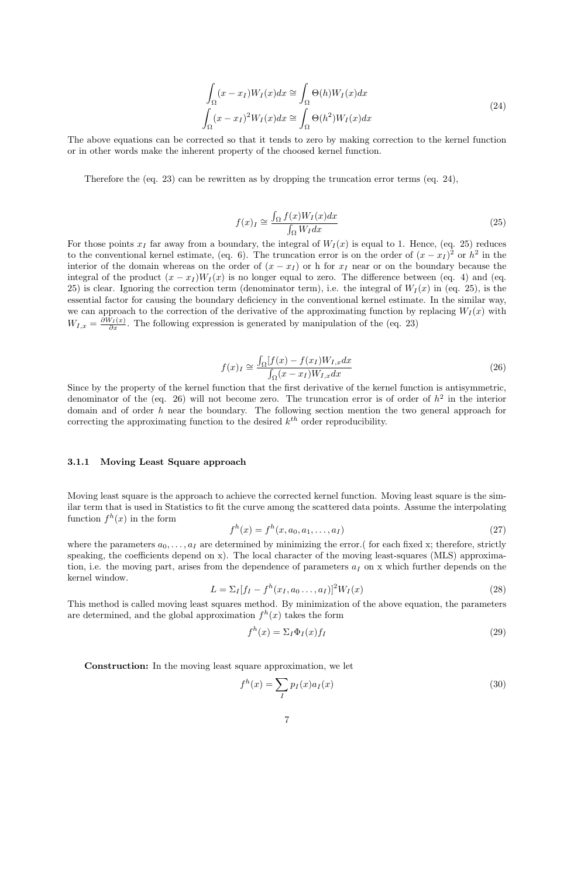$$
\int_{\Omega} (x - x_I) W_I(x) dx \cong \int_{\Omega} \Theta(h) W_I(x) dx
$$
\n
$$
\int_{\Omega} (x - x_I)^2 W_I(x) dx \cong \int_{\Omega} \Theta(h^2) W_I(x) dx
$$
\n(24)

The above equations can be corrected so that it tends to zero by making correction to the kernel function or in other words make the inherent property of the choosed kernel function.

Therefore the (eq. 23) can be rewritten as by dropping the truncation error terms (eq. 24),

$$
f(x)_{I} \cong \frac{\int_{\Omega} f(x)W_{I}(x)dx}{\int_{\Omega} W_{I}dx}
$$
\n(25)

For those points  $x_I$  far away from a boundary, the integral of  $W_I(x)$  is equal to 1. Hence, (eq. 25) reduces to the conventional kernel estimate, (eq. 6). The truncation error is on the order of  $(x - x<sub>I</sub>)<sup>2</sup>$  or  $h<sup>2</sup>$  in the interior of the domain whereas on the order of  $(x - x<sub>I</sub>)$  or h for  $x<sub>I</sub>$  near or on the boundary because the integral of the product  $(x - x_I)W_I(x)$  is no longer equal to zero. The difference between (eq. 4) and (eq. 25) is clear. Ignoring the correction term (denominator term), i.e. the integral of  $W_I(x)$  in (eq. 25), is the essential factor for causing the boundary deficiency in the conventional kernel estimate. In the similar way, we can approach to the correction of the derivative of the approximating function by replacing  $W_I(x)$  with  $W_{I,x} = \frac{\partial W_I(x)}{\partial x}$ . The following expression is generated by manipulation of the (eq. 23)

$$
f(x)_I \cong \frac{\int_{\Omega} [f(x) - f(x_I) W_{I,x} dx]}{\int_{\Omega} (x - x_I) W_{I,x} dx}
$$
\n(26)

Since by the property of the kernel function that the first derivative of the kernel function is antisymmetric, denominator of the (eq. 26) will not become zero. The truncation error is of order of  $h^2$  in the interior domain and of order h near the boundary. The following section mention the two general approach for correcting the approximating function to the desired  $k^{th}$  order reproducibility.

#### 3.1.1 Moving Least Square approach

Moving least square is the approach to achieve the corrected kernel function. Moving least square is the similar term that is used in Statistics to fit the curve among the scattered data points. Assume the interpolating function  $f^h(x)$  in the form

$$
f^{h}(x) = f^{h}(x, a_{0}, a_{1}, \dots, a_{I})
$$
\n(27)

where the parameters  $a_0, \ldots, a_I$  are determined by minimizing the error.( for each fixed x; therefore, strictly speaking, the coefficients depend on x). The local character of the moving least-squares (MLS) approximation, i.e. the moving part, arises from the dependence of parameters  $a<sub>I</sub>$  on x which further depends on the kernel window.

$$
L = \sum_{I} [f_{I} - f^{h}(x_{I}, a_{0} \dots, a_{I})]^{2} W_{I}(x)
$$
\n(28)

This method is called moving least squares method. By minimization of the above equation, the parameters are determined, and the global approximation  $f^h(x)$  takes the form

$$
f^h(x) = \Sigma_I \Phi_I(x) f_I \tag{29}
$$

Construction: In the moving least square approximation, we let

$$
f^h(x) = \sum_I p_I(x) a_I(x) \tag{30}
$$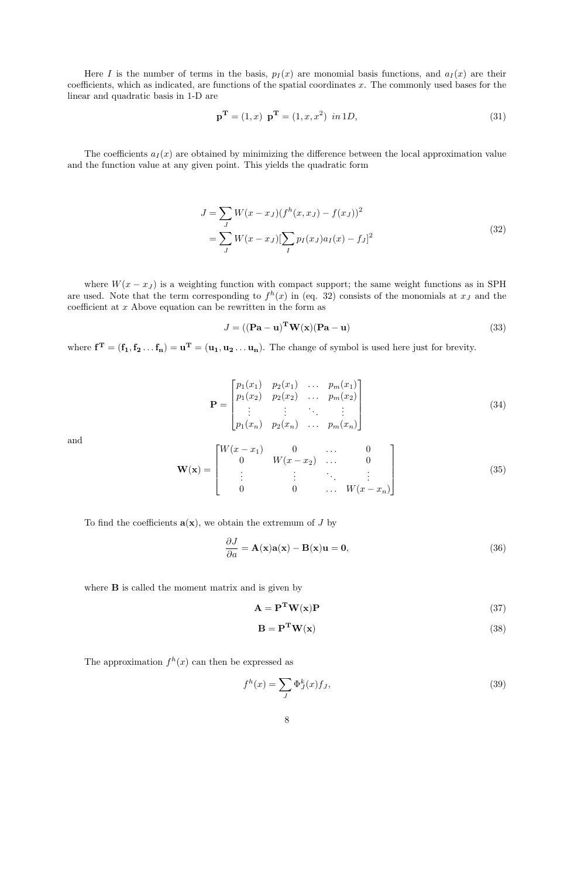Here I is the number of terms in the basis,  $p_I(x)$  are monomial basis functions, and  $a_I(x)$  are their coefficients, which as indicated, are functions of the spatial coordinates  $x$ . The commonly used bases for the linear and quadratic basis in 1-D are

$$
\mathbf{p}^{\mathbf{T}} = (1, x) \ \mathbf{p}^{\mathbf{T}} = (1, x, x^2) \ in 1D,
$$
\n(31)

The coefficients  $a_I(x)$  are obtained by minimizing the difference between the local approximation value and the function value at any given point. This yields the quadratic form

$$
J = \sum_{J} W(x - x_{J})(f^{h}(x, x_{J}) - f(x_{J}))^{2}
$$
  
= 
$$
\sum_{J} W(x - x_{J})[\sum_{I} p_{I}(x_{J})a_{I}(x) - f_{J}]^{2}
$$
 (32)

where  $W(x - x_j)$  is a weighting function with compact support; the same weight functions as in SPH are used. Note that the term corresponding to  $f^h(x)$  in (eq. 32) consists of the monomials at  $x_j$  and the coefficient at  $x$  Above equation can be rewritten in the form as

$$
J = ((\mathbf{Pa} - \mathbf{u})^{\mathbf{T}} \mathbf{W}(\mathbf{x})(\mathbf{Pa} - \mathbf{u})
$$
\n(33)

where  $f^T = (f_1, f_2 \dots f_n) = u^T = (u_1, u_2 \dots u_n)$ . The change of symbol is used here just for brevity.

$$
\mathbf{P} = \begin{bmatrix} p_1(x_1) & p_2(x_1) & \dots & p_m(x_1) \\ p_1(x_2) & p_2(x_2) & \dots & p_m(x_2) \\ \vdots & \vdots & \ddots & \vdots \\ p_1(x_n) & p_2(x_n) & \dots & p_m(x_n) \end{bmatrix}
$$
(34)

and

$$
\mathbf{W}(\mathbf{x}) = \begin{bmatrix} W(x - x_1) & 0 & \dots & 0 \\ 0 & W(x - x_2) & \dots & 0 \\ \vdots & \vdots & \ddots & \vdots \\ 0 & 0 & \dots & W(x - x_n) \end{bmatrix}
$$
(35)

To find the coefficients  $\mathbf{a}(\mathbf{x})$ , we obtain the extremum of J by

$$
\frac{\partial J}{\partial a} = \mathbf{A}(\mathbf{x})\mathbf{a}(\mathbf{x}) - \mathbf{B}(\mathbf{x})\mathbf{u} = \mathbf{0},\tag{36}
$$

where **B** is called the moment matrix and is given by

$$
\mathbf{A} = \mathbf{P}^{\mathbf{T}} \mathbf{W}(\mathbf{x}) \mathbf{P} \tag{37}
$$

$$
\mathbf{B} = \mathbf{P}^{\mathbf{T}} \mathbf{W}(\mathbf{x}) \tag{38}
$$

The approximation  $f^h(x)$  can then be expressed as

$$
f^h(x) = \sum_J \Phi_J^k(x) f_J,
$$
\n(39)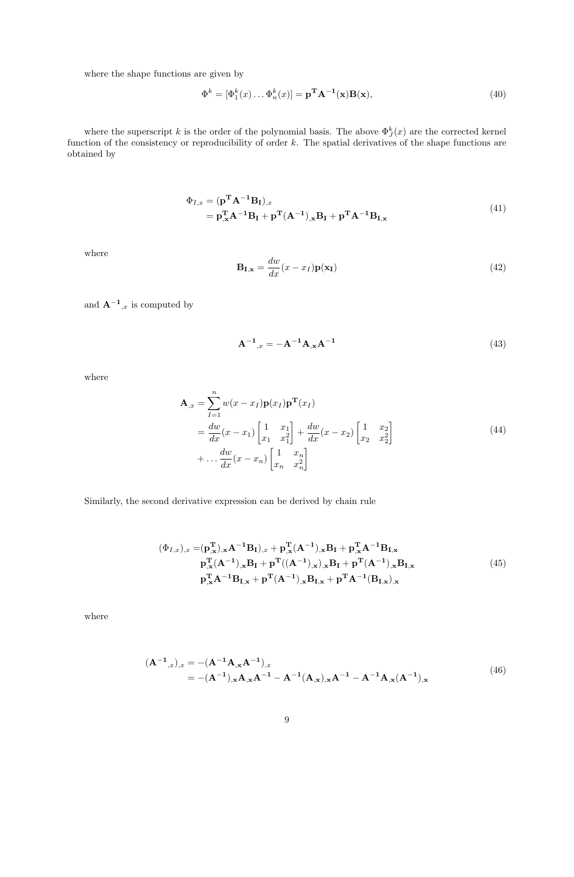where the shape functions are given by

$$
\Phi^k = [\Phi_1^k(x) \dots \Phi_n^k(x)] = \mathbf{p}^{\mathbf{T}} \mathbf{A}^{-1}(\mathbf{x}) \mathbf{B}(\mathbf{x}),\tag{40}
$$

where the superscript k is the order of the polynomial basis. The above  $\Phi_{J}^{k}(x)$  are the corrected kernel function of the consistency or reproducibility of order k. The spatial derivatives of the shape functions are obtained by

$$
\Phi_{I,x} = (\mathbf{p}^{\mathbf{T}} \mathbf{A}^{-1} \mathbf{B}_{I})_{,x}
$$
  
=  $\mathbf{p}_{,x}^{\mathbf{T}} \mathbf{A}^{-1} \mathbf{B}_{I} + \mathbf{p}^{\mathbf{T}} (\mathbf{A}^{-1})_{,x} \mathbf{B}_{I} + \mathbf{p}^{\mathbf{T}} \mathbf{A}^{-1} \mathbf{B}_{I,x}$  (41)

where

$$
\mathbf{B}_{\mathbf{I}, \mathbf{x}} = \frac{dw}{dx}(x - x_I)\mathbf{p}(\mathbf{x}_\mathbf{I})
$$
\n(42)

and  $\mathbf{A}^{-1}_{x}$  is computed by

$$
A^{-1}_{x} = -A^{-1}A_{,x}A^{-1}
$$
\n(43)

where

$$
\mathbf{A}_{,x} = \sum_{I=1}^{n} w(x - x_I) \mathbf{p}(x_I) \mathbf{p}^{\mathbf{T}}(x_I)
$$
  
= 
$$
\frac{dw}{dx}(x - x_1) \begin{bmatrix} 1 & x_1 \\ x_1 & x_1^2 \end{bmatrix} + \frac{dw}{dx}(x - x_2) \begin{bmatrix} 1 & x_2 \\ x_2 & x_2^2 \end{bmatrix}
$$
  
+ 
$$
\dots \frac{dw}{dx}(x - x_n) \begin{bmatrix} 1 & x_n \\ x_n & x_n^2 \end{bmatrix}
$$
 (44)

Similarly, the second derivative expression can be derived by chain rule

$$
(\Phi_{I,x})_{,x} = (\mathbf{p}_{,x}^{T})_{,x} \mathbf{A}^{-1} \mathbf{B}_{I})_{,x} + \mathbf{p}_{,x}^{T} (\mathbf{A}^{-1})_{,x} \mathbf{B}_{I} + \mathbf{p}_{,x}^{T} \mathbf{A}^{-1} \mathbf{B}_{I,x}
$$
  
\n
$$
\mathbf{p}_{,x}^{T} (\mathbf{A}^{-1})_{,x} \mathbf{B}_{I} + \mathbf{p}^{T} ((\mathbf{A}^{-1})_{,x})_{,x} \mathbf{B}_{I} + \mathbf{p}^{T} (\mathbf{A}^{-1})_{,x} \mathbf{B}_{I,x}
$$
  
\n
$$
\mathbf{p}_{,x}^{T} \mathbf{A}^{-1} \mathbf{B}_{I,x} + \mathbf{p}^{T} (\mathbf{A}^{-1})_{,x} \mathbf{B}_{I,x} + \mathbf{p}^{T} \mathbf{A}^{-1} (\mathbf{B}_{I,x})_{,x}
$$
\n(45)

where

$$
(\mathbf{A}^{-1}_{,x})_{,x} = -(\mathbf{A}^{-1}\mathbf{A}_{,x}\mathbf{A}^{-1})_{,x}
$$
  
= -(\mathbf{A}^{-1})\_{,x}\mathbf{A}\_{,x}\mathbf{A}^{-1} - \mathbf{A}^{-1}(\mathbf{A}\_{,x})\_{,x}\mathbf{A}^{-1} - \mathbf{A}^{-1}\mathbf{A}\_{,x}(\mathbf{A}^{-1})\_{,x} (46)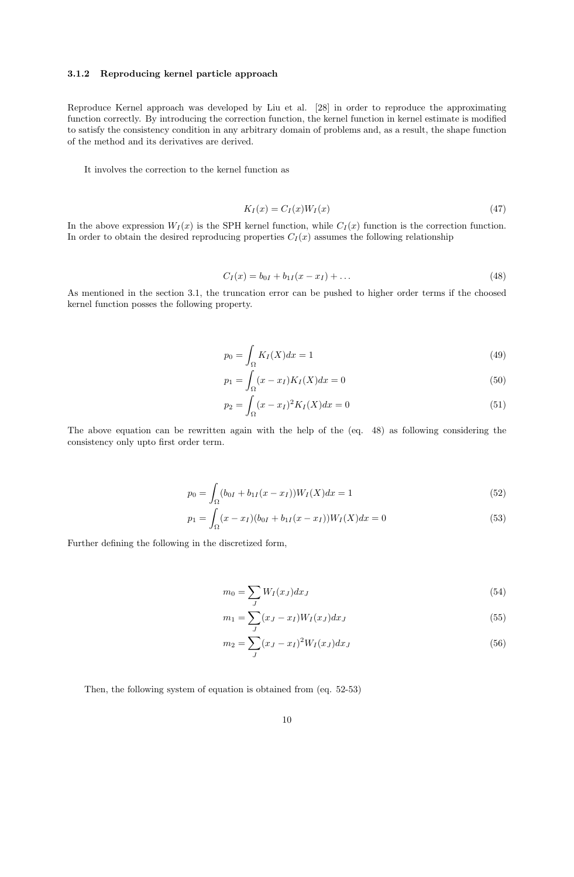#### 3.1.2 Reproducing kernel particle approach

Reproduce Kernel approach was developed by Liu et al. [28] in order to reproduce the approximating function correctly. By introducing the correction function, the kernel function in kernel estimate is modified to satisfy the consistency condition in any arbitrary domain of problems and, as a result, the shape function of the method and its derivatives are derived.

It involves the correction to the kernel function as

$$
K_I(x) = C_I(x)W_I(x) \tag{47}
$$

In the above expression  $W_I(x)$  is the SPH kernel function, while  $C_I(x)$  function is the correction function. In order to obtain the desired reproducing properties  $C_I(x)$  assumes the following relationship

$$
C_I(x) = b_{0I} + b_{1I}(x - x_I) + \dots \tag{48}
$$

As mentioned in the section 3.1, the truncation error can be pushed to higher order terms if the choosed kernel function posses the following property.

$$
p_0 = \int_{\Omega} K_I(X) dx = 1 \tag{49}
$$

$$
p_1 = \int_{\Omega} (x - x_I) K_I(X) dx = 0
$$
\n(50)

$$
p_2 = \int_{\Omega} (x - x_I)^2 K_I(X) dx = 0
$$
\n(51)

The above equation can be rewritten again with the help of the (eq. 48) as following considering the consistency only upto first order term.

$$
p_0 = \int_{\Omega} (b_{0I} + b_{1I}(x - x_I)) W_I(X) dx = 1
$$
\n(52)

$$
p_1 = \int_{\Omega} (x - x_I)(b_{0I} + b_{1I}(x - x_I))W_I(X)dx = 0
$$
\n(53)

Further defining the following in the discretized form,

$$
m_0 = \sum_J W_I(x_J) dx_J \tag{54}
$$

$$
m_1 = \sum_{J} (x_J - x_I) W_I(x_J) dx_J
$$
\n(55)

$$
m_2 = \sum_{J} (x_J - x_I)^2 W_I(x_J) dx_J
$$
\n(56)

Then, the following system of equation is obtained from (eq. 52-53)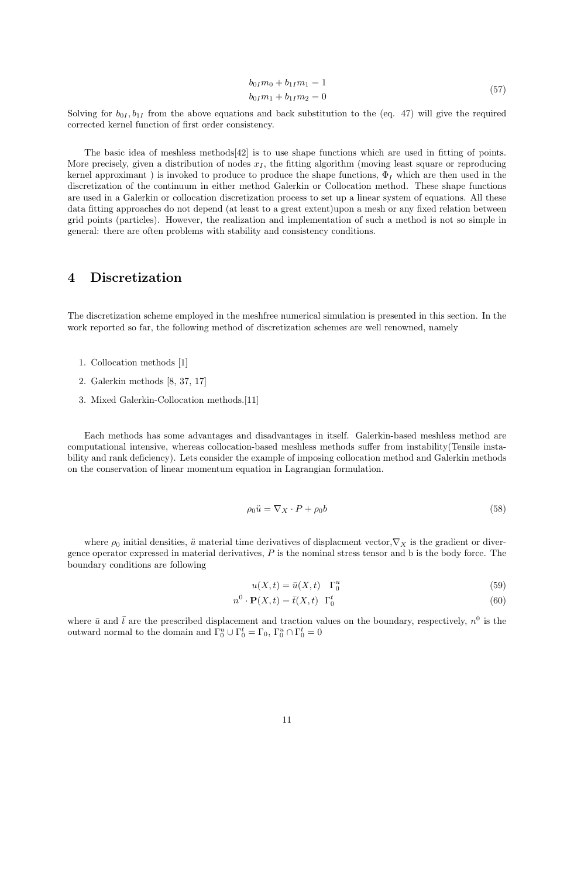$$
b_{0I}m_0 + b_{1I}m_1 = 1
$$
  

$$
b_{0I}m_1 + b_{1I}m_2 = 0
$$
 (57)

Solving for  $b_{0I}, b_{1I}$  from the above equations and back substitution to the (eq. 47) will give the required corrected kernel function of first order consistency.

The basic idea of meshless methods[42] is to use shape functions which are used in fitting of points. More precisely, given a distribution of nodes  $x_I$ , the fitting algorithm (moving least square or reproducing kernel approximant) is invoked to produce to produce the shape functions,  $\Phi_I$  which are then used in the discretization of the continuum in either method Galerkin or Collocation method. These shape functions are used in a Galerkin or collocation discretization process to set up a linear system of equations. All these data fitting approaches do not depend (at least to a great extent)upon a mesh or any fixed relation between grid points (particles). However, the realization and implementation of such a method is not so simple in general: there are often problems with stability and consistency conditions.

### 4 Discretization

The discretization scheme employed in the meshfree numerical simulation is presented in this section. In the work reported so far, the following method of discretization schemes are well renowned, namely

- 1. Collocation methods [1]
- 2. Galerkin methods [8, 37, 17]
- 3. Mixed Galerkin-Collocation methods.[11]

Each methods has some advantages and disadvantages in itself. Galerkin-based meshless method are computational intensive, whereas collocation-based meshless methods suffer from instability(Tensile instability and rank deficiency). Lets consider the example of imposing collocation method and Galerkin methods on the conservation of linear momentum equation in Lagrangian formulation.

$$
\rho_0 \ddot{u} = \nabla_X \cdot P + \rho_0 b \tag{58}
$$

where  $\rho_0$  initial densities,  $\ddot{u}$  material time derivatives of displacment vector, $\nabla_X$  is the gradient or divergence operator expressed in material derivatives, P is the nominal stress tensor and b is the body force. The boundary conditions are following

$$
u(X,t) = \bar{u}(X,t) \quad \Gamma_0^u \tag{59}
$$

$$
n^{0} \cdot \mathbf{P}(X,t) = \bar{t}(X,t) \Gamma_{0}^{t}
$$
\n(60)

where  $\bar{u}$  and  $\bar{t}$  are the prescribed displacement and traction values on the boundary, respectively,  $n^0$  is the outward normal to the domain and  $\Gamma_0^u \cup \Gamma_0^t = \Gamma_0$ ,  $\Gamma_0^u \cap \Gamma_0^t = 0$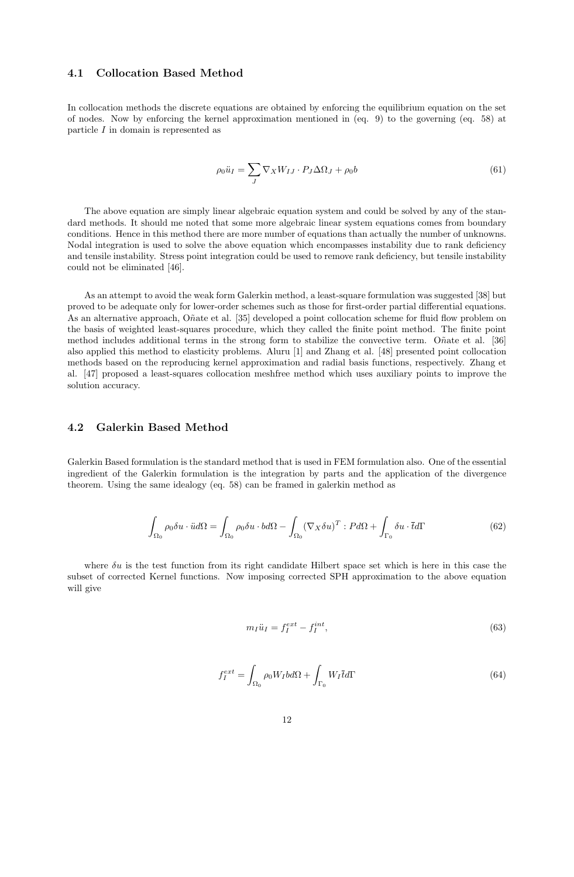#### 4.1 Collocation Based Method

In collocation methods the discrete equations are obtained by enforcing the equilibrium equation on the set of nodes. Now by enforcing the kernel approximation mentioned in (eq. 9) to the governing (eq. 58) at particle I in domain is represented as

$$
\rho_0 \ddot{u}_I = \sum_J \nabla_X W_{IJ} \cdot P_J \Delta \Omega_J + \rho_0 b \tag{61}
$$

The above equation are simply linear algebraic equation system and could be solved by any of the standard methods. It should me noted that some more algebraic linear system equations comes from boundary conditions. Hence in this method there are more number of equations than actually the number of unknowns. Nodal integration is used to solve the above equation which encompasses instability due to rank deficiency and tensile instability. Stress point integration could be used to remove rank deficiency, but tensile instability could not be eliminated [46].

As an attempt to avoid the weak form Galerkin method, a least-square formulation was suggested [38] but proved to be adequate only for lower-order schemes such as those for first-order partial differential equations. As an alternative approach, Oñate et al. [35] developed a point collocation scheme for fluid flow problem on the basis of weighted least-squares procedure, which they called the finite point method. The finite point method includes additional terms in the strong form to stabilize the convective term. O $\tilde{n}$ ate et al. [36] also applied this method to elasticity problems. Aluru [1] and Zhang et al. [48] presented point collocation methods based on the reproducing kernel approximation and radial basis functions, respectively. Zhang et al. [47] proposed a least-squares collocation meshfree method which uses auxiliary points to improve the solution accuracy.

#### 4.2 Galerkin Based Method

Galerkin Based formulation is the standard method that is used in FEM formulation also. One of the essential ingredient of the Galerkin formulation is the integration by parts and the application of the divergence theorem. Using the same idealogy (eq. 58) can be framed in galerkin method as

$$
\int_{\Omega_0} \rho_0 \delta u \cdot \ddot{u} d\Omega = \int_{\Omega_0} \rho_0 \delta u \cdot b d\Omega - \int_{\Omega_0} (\nabla_X \delta u)^T : P d\Omega + \int_{\Gamma_0} \delta u \cdot \overline{t} d\Gamma \tag{62}
$$

where  $\delta u$  is the test function from its right candidate Hilbert space set which is here in this case the subset of corrected Kernel functions. Now imposing corrected SPH approximation to the above equation will give

$$
m_I \ddot{u}_I = f_I^{ext} - f_I^{int},\tag{63}
$$

$$
f_I^{ext} = \int_{\Omega_0} \rho_0 W_I b d\Omega + \int_{\Gamma_0} W_I \overline{t} d\Gamma \tag{64}
$$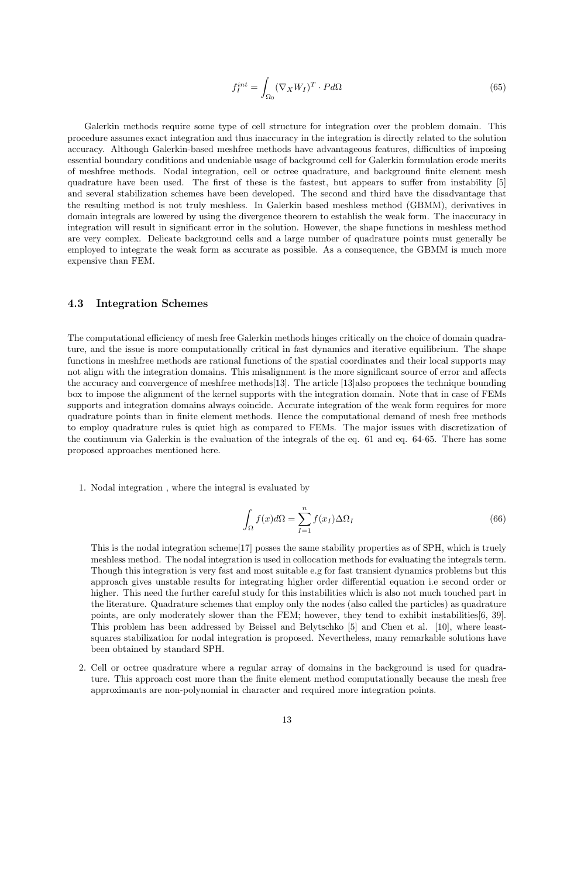$$
f_I^{int} = \int_{\Omega_0} (\nabla_X W_I)^T \cdot P d\Omega \tag{65}
$$

Galerkin methods require some type of cell structure for integration over the problem domain. This procedure assumes exact integration and thus inaccuracy in the integration is directly related to the solution accuracy. Although Galerkin-based meshfree methods have advantageous features, difficulties of imposing essential boundary conditions and undeniable usage of background cell for Galerkin formulation erode merits of meshfree methods. Nodal integration, cell or octree quadrature, and background finite element mesh quadrature have been used. The first of these is the fastest, but appears to suffer from instability [5] and several stabilization schemes have been developed. The second and third have the disadvantage that the resulting method is not truly meshless. In Galerkin based meshless method (GBMM), derivatives in domain integrals are lowered by using the divergence theorem to establish the weak form. The inaccuracy in integration will result in significant error in the solution. However, the shape functions in meshless method are very complex. Delicate background cells and a large number of quadrature points must generally be employed to integrate the weak form as accurate as possible. As a consequence, the GBMM is much more expensive than FEM.

#### 4.3 Integration Schemes

The computational efficiency of mesh free Galerkin methods hinges critically on the choice of domain quadrature, and the issue is more computationally critical in fast dynamics and iterative equilibrium. The shape functions in meshfree methods are rational functions of the spatial coordinates and their local supports may not align with the integration domains. This misalignment is the more significant source of error and affects the accuracy and convergence of meshfree methods[13]. The article [13]also proposes the technique bounding box to impose the alignment of the kernel supports with the integration domain. Note that in case of FEMs supports and integration domains always coincide. Accurate integration of the weak form requires for more quadrature points than in finite element methods. Hence the computational demand of mesh free methods to employ quadrature rules is quiet high as compared to FEMs. The major issues with discretization of the continuum via Galerkin is the evaluation of the integrals of the eq. 61 and eq. 64-65. There has some proposed approaches mentioned here.

1. Nodal integration , where the integral is evaluated by

$$
\int_{\Omega} f(x)d\Omega = \sum_{I=1}^{n} f(x_I)\Delta\Omega_I
$$
\n(66)

This is the nodal integration scheme[17] posses the same stability properties as of SPH, which is truely meshless method. The nodal integration is used in collocation methods for evaluating the integrals term. Though this integration is very fast and most suitable e.g for fast transient dynamics problems but this approach gives unstable results for integrating higher order differential equation i.e second order or higher. This need the further careful study for this instabilities which is also not much touched part in the literature. Quadrature schemes that employ only the nodes (also called the particles) as quadrature points, are only moderately slower than the FEM; however, they tend to exhibit instabilities[6, 39]. This problem has been addressed by Beissel and Belytschko [5] and Chen et al. [10], where leastsquares stabilization for nodal integration is proposed. Nevertheless, many remarkable solutions have been obtained by standard SPH.

2. Cell or octree quadrature where a regular array of domains in the background is used for quadrature. This approach cost more than the finite element method computationally because the mesh free approximants are non-polynomial in character and required more integration points.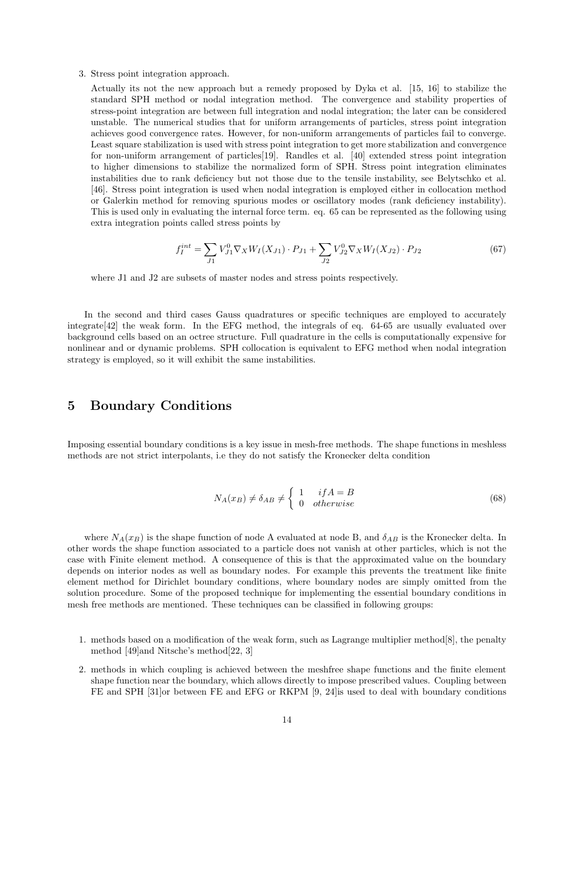3. Stress point integration approach.

Actually its not the new approach but a remedy proposed by Dyka et al. [15, 16] to stabilize the standard SPH method or nodal integration method. The convergence and stability properties of stress-point integration are between full integration and nodal integration; the later can be considered unstable. The numerical studies that for uniform arrangements of particles, stress point integration achieves good convergence rates. However, for non-uniform arrangements of particles fail to converge. Least square stabilization is used with stress point integration to get more stabilization and convergence for non-uniform arrangement of particles[19]. Randles et al. [40] extended stress point integration to higher dimensions to stabilize the normalized form of SPH. Stress point integration eliminates instabilities due to rank deficiency but not those due to the tensile instability, see Belytschko et al. [46]. Stress point integration is used when nodal integration is employed either in collocation method or Galerkin method for removing spurious modes or oscillatory modes (rank deficiency instability). This is used only in evaluating the internal force term. eq. 65 can be represented as the following using extra integration points called stress points by

$$
f_I^{int} = \sum_{J1} V_{J1}^0 \nabla_X W_I(X_{J1}) \cdot P_{J1} + \sum_{J2} V_{J2}^0 \nabla_X W_I(X_{J2}) \cdot P_{J2}
$$
 (67)

where J1 and J2 are subsets of master nodes and stress points respectively.

In the second and third cases Gauss quadratures or specific techniques are employed to accurately integrate[42] the weak form. In the EFG method, the integrals of eq. 64-65 are usually evaluated over background cells based on an octree structure. Full quadrature in the cells is computationally expensive for nonlinear and or dynamic problems. SPH collocation is equivalent to EFG method when nodal integration strategy is employed, so it will exhibit the same instabilities.

### 5 Boundary Conditions

Imposing essential boundary conditions is a key issue in mesh-free methods. The shape functions in meshless methods are not strict interpolants, i.e they do not satisfy the Kronecker delta condition

$$
N_A(x_B) \neq \delta_{AB} \neq \begin{cases} 1 & if A = B \\ 0 & otherwise \end{cases}
$$
 (68)

where  $N_A(x_B)$  is the shape function of node A evaluated at node B, and  $\delta_{AB}$  is the Kronecker delta. In other words the shape function associated to a particle does not vanish at other particles, which is not the case with Finite element method. A consequence of this is that the approximated value on the boundary depends on interior nodes as well as boundary nodes. For example this prevents the treatment like finite element method for Dirichlet boundary conditions, where boundary nodes are simply omitted from the solution procedure. Some of the proposed technique for implementing the essential boundary conditions in mesh free methods are mentioned. These techniques can be classified in following groups:

- 1. methods based on a modification of the weak form, such as Lagrange multiplier method[8], the penalty method [49]and Nitsche's method[22, 3]
- 2. methods in which coupling is achieved between the meshfree shape functions and the finite element shape function near the boundary, which allows directly to impose prescribed values. Coupling between FE and SPH [31]or between FE and EFG or RKPM [9, 24] is used to deal with boundary conditions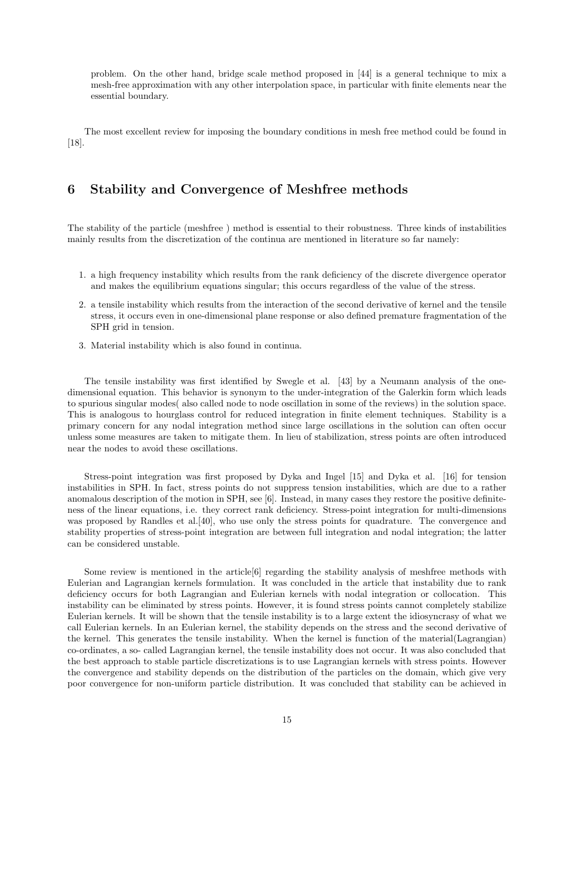problem. On the other hand, bridge scale method proposed in [44] is a general technique to mix a mesh-free approximation with any other interpolation space, in particular with finite elements near the essential boundary.

The most excellent review for imposing the boundary conditions in mesh free method could be found in [18].

## 6 Stability and Convergence of Meshfree methods

The stability of the particle (meshfree ) method is essential to their robustness. Three kinds of instabilities mainly results from the discretization of the continua are mentioned in literature so far namely:

- 1. a high frequency instability which results from the rank deficiency of the discrete divergence operator and makes the equilibrium equations singular; this occurs regardless of the value of the stress.
- 2. a tensile instability which results from the interaction of the second derivative of kernel and the tensile stress, it occurs even in one-dimensional plane response or also defined premature fragmentation of the SPH grid in tension.
- 3. Material instability which is also found in continua.

The tensile instability was first identified by Swegle et al. [43] by a Neumann analysis of the onedimensional equation. This behavior is synonym to the under-integration of the Galerkin form which leads to spurious singular modes( also called node to node oscillation in some of the reviews) in the solution space. This is analogous to hourglass control for reduced integration in finite element techniques. Stability is a primary concern for any nodal integration method since large oscillations in the solution can often occur unless some measures are taken to mitigate them. In lieu of stabilization, stress points are often introduced near the nodes to avoid these oscillations.

Stress-point integration was first proposed by Dyka and Ingel [15] and Dyka et al. [16] for tension instabilities in SPH. In fact, stress points do not suppress tension instabilities, which are due to a rather anomalous description of the motion in SPH, see [6]. Instead, in many cases they restore the positive definiteness of the linear equations, i.e. they correct rank deficiency. Stress-point integration for multi-dimensions was proposed by Randles et al. [40], who use only the stress points for quadrature. The convergence and stability properties of stress-point integration are between full integration and nodal integration; the latter can be considered unstable.

Some review is mentioned in the article $[6]$  regarding the stability analysis of meshfree methods with Eulerian and Lagrangian kernels formulation. It was concluded in the article that instability due to rank deficiency occurs for both Lagrangian and Eulerian kernels with nodal integration or collocation. This instability can be eliminated by stress points. However, it is found stress points cannot completely stabilize Eulerian kernels. It will be shown that the tensile instability is to a large extent the idiosyncrasy of what we call Eulerian kernels. In an Eulerian kernel, the stability depends on the stress and the second derivative of the kernel. This generates the tensile instability. When the kernel is function of the material(Lagrangian) co-ordinates, a so- called Lagrangian kernel, the tensile instability does not occur. It was also concluded that the best approach to stable particle discretizations is to use Lagrangian kernels with stress points. However the convergence and stability depends on the distribution of the particles on the domain, which give very poor convergence for non-uniform particle distribution. It was concluded that stability can be achieved in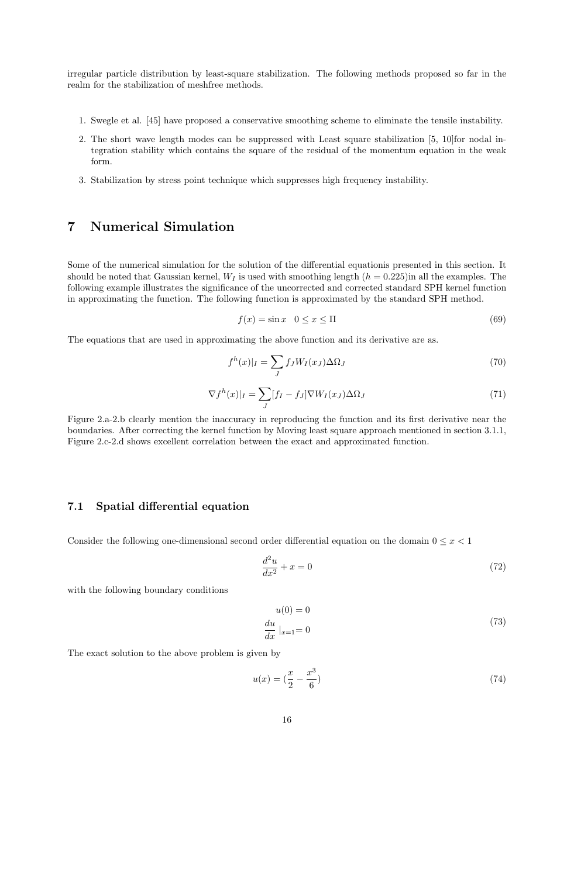irregular particle distribution by least-square stabilization. The following methods proposed so far in the realm for the stabilization of meshfree methods.

- 1. Swegle et al. [45] have proposed a conservative smoothing scheme to eliminate the tensile instability.
- 2. The short wave length modes can be suppressed with Least square stabilization [5, 10]for nodal integration stability which contains the square of the residual of the momentum equation in the weak form.
- 3. Stabilization by stress point technique which suppresses high frequency instability.

# 7 Numerical Simulation

Some of the numerical simulation for the solution of the differential equationis presented in this section. It should be noted that Gaussian kernel,  $W_I$  is used with smoothing length  $(h = 0.225)$ in all the examples. The following example illustrates the significance of the uncorrected and corrected standard SPH kernel function in approximating the function. The following function is approximated by the standard SPH method.

$$
f(x) = \sin x \quad 0 \le x \le \Pi \tag{69}
$$

The equations that are used in approximating the above function and its derivative are as.

$$
f^h(x)|_I = \sum_J f_J W_I(x_J) \Delta \Omega_J \tag{70}
$$

$$
\nabla f^h(x)|_I = \sum_J [f_I - f_J] \nabla W_I(x_J) \Delta \Omega_J \tag{71}
$$

Figure 2.a-2.b clearly mention the inaccuracy in reproducing the function and its first derivative near the boundaries. After correcting the kernel function by Moving least square approach mentioned in section 3.1.1, Figure 2.c-2.d shows excellent correlation between the exact and approximated function.

### 7.1 Spatial differential equation

Consider the following one-dimensional second order differential equation on the domain  $0 \leq x < 1$ 

$$
\frac{d^2u}{dx^2} + x = 0\tag{72}
$$

with the following boundary conditions

$$
u(0) = 0
$$
  

$$
\frac{du}{dx}|_{x=1} = 0
$$
 (73)

The exact solution to the above problem is given by

$$
u(x) = \left(\frac{x}{2} - \frac{x^3}{6}\right) \tag{74}
$$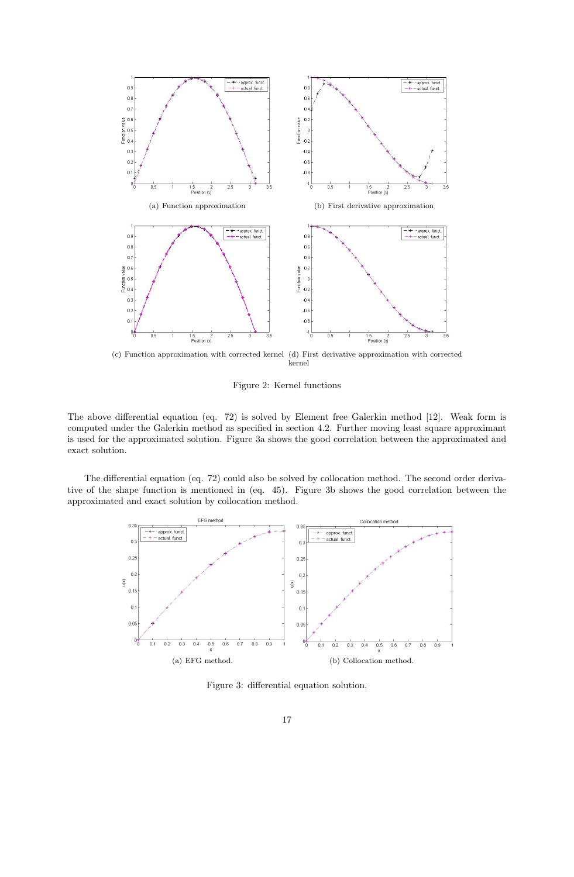

(c) Function approximation with corrected kernel (d) First derivative approximation with corrected kernel

Figure 2: Kernel functions

The above differential equation (eq. 72) is solved by Element free Galerkin method [12]. Weak form is computed under the Galerkin method as specified in section 4.2. Further moving least square approximant is used for the approximated solution. Figure 3a shows the good correlation between the approximated and exact solution.

The differential equation (eq. 72) could also be solved by collocation method. The second order derivative of the shape function is mentioned in (eq. 45). Figure 3b shows the good correlation between the approximated and exact solution by collocation method.



Figure 3: differential equation solution.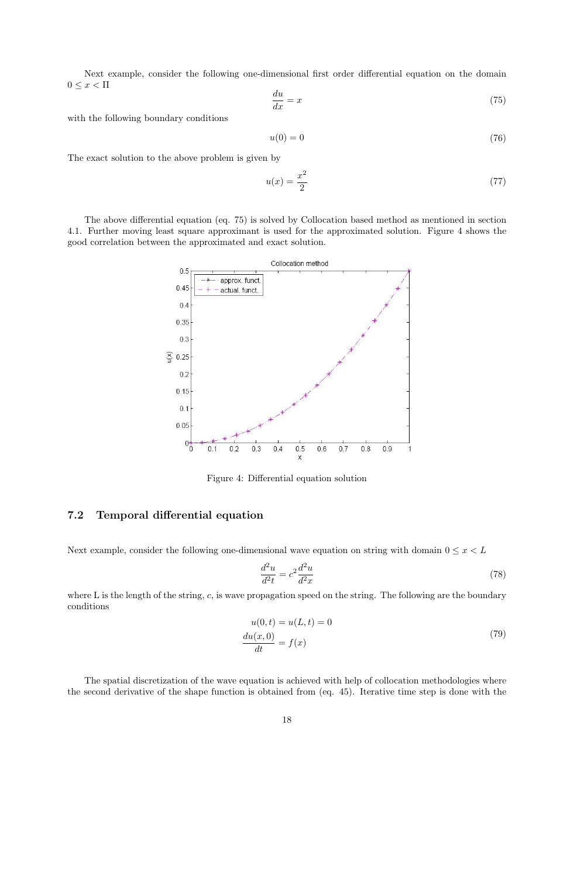Next example, consider the following one-dimensional first order differential equation on the domain  $0 \leq x < \Pi$ 

$$
\frac{du}{dx} = x\tag{75}
$$

with the following boundary conditions

$$
u(0) = 0 \tag{76}
$$

The exact solution to the above problem is given by

$$
u(x) = \frac{x^2}{2} \tag{77}
$$

The above differential equation (eq. 75) is solved by Collocation based method as mentioned in section 4.1. Further moving least square approximant is used for the approximated solution. Figure 4 shows the good correlation between the approximated and exact solution.



Figure 4: Differential equation solution

### 7.2 Temporal differential equation

Next example, consider the following one-dimensional wave equation on string with domain  $0 \leq x < L$ 

$$
\frac{d^2u}{d^2t} = c^2 \frac{d^2u}{d^2x} \tag{78}
$$

where L is the length of the string, c, is wave propagation speed on the string. The following are the boundary conditions

$$
u(0,t) = u(L,t) = 0
$$
  

$$
\frac{du(x,0)}{dt} = f(x)
$$
 (79)

The spatial discretization of the wave equation is achieved with help of collocation methodologies where the second derivative of the shape function is obtained from (eq. 45). Iterative time step is done with the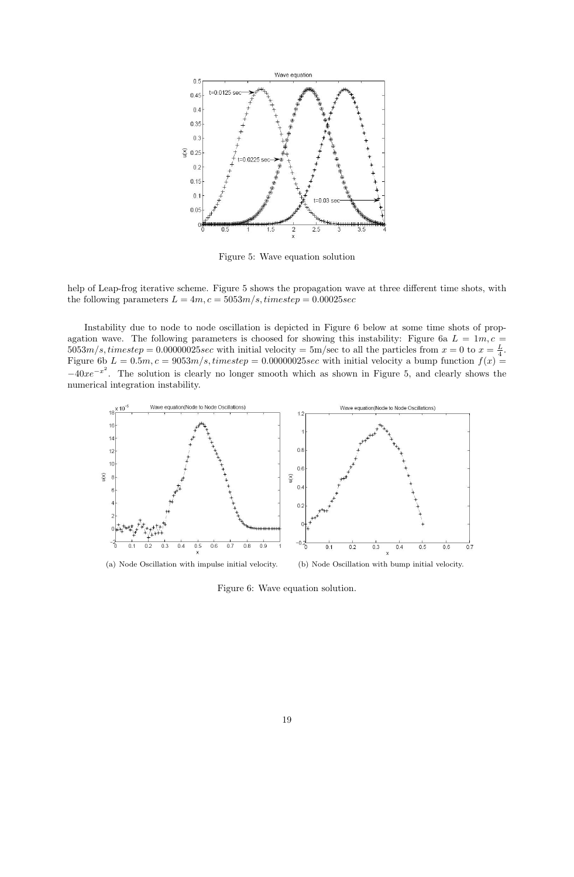

Figure 5: Wave equation solution

help of Leap-frog iterative scheme. Figure 5 shows the propagation wave at three different time shots, with the following parameters  $L = 4m$ ,  $c = 5053m/s$ , timestep = 0.00025sec

Instability due to node to node oscillation is depicted in Figure 6 below at some time shots of propagation wave. The following parameters is choosed for showing this instability: Figure 6a  $L = 1m, c =$  $5053m/s, time step = 0.00000025sec$  with initial velocity = 5m/sec to all the particles from  $x = 0$  to  $x = \frac{L}{4}$ . Figure 6b  $L = 0.5m$ ,  $c = 9053m/s$ , timestep = 0.00000025sec with initial velocity a bump function  $f(x)$  =  $-40xe^{-x^2}$ . The solution is clearly no longer smooth which as shown in Figure 5, and clearly shows the numerical integration instability.



Figure 6: Wave equation solution.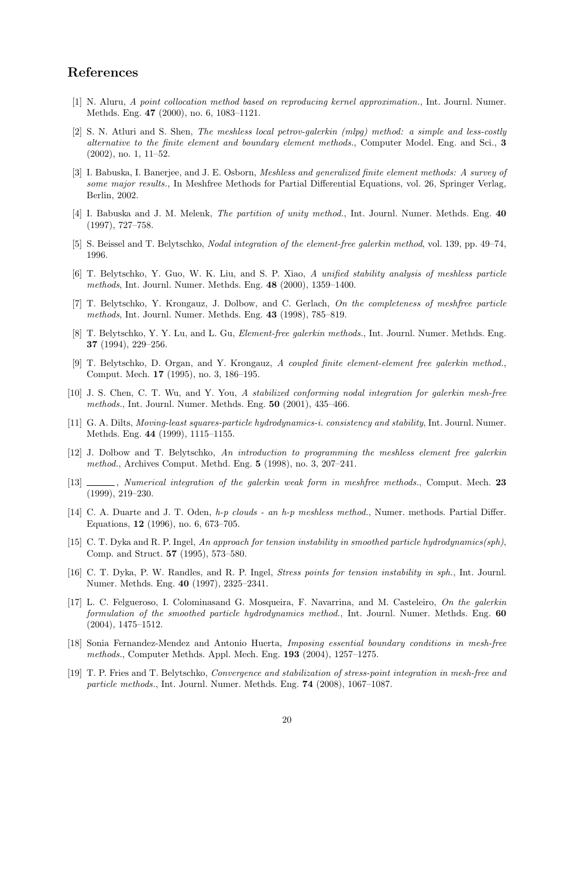# References

- [1] N. Aluru, A point collocation method based on reproducing kernel approximation., Int. Journl. Numer. Methds. Eng. 47 (2000), no. 6, 1083–1121.
- [2] S. N. Atluri and S. Shen, The meshless local petrov-galerkin (mlpg) method: a simple and less-costly alternative to the finite element and boundary element methods., Computer Model. Eng. and Sci., 3 (2002), no. 1, 11–52.
- [3] I. Babuska, I. Banerjee, and J. E. Osborn, Meshless and generalized finite element methods: A survey of some major results., In Meshfree Methods for Partial Differential Equations, vol. 26, Springer Verlag, Berlin, 2002.
- [4] I. Babuska and J. M. Melenk, The partition of unity method., Int. Journl. Numer. Methds. Eng. 40 (1997), 727–758.
- [5] S. Beissel and T. Belytschko, Nodal integration of the element-free galerkin method, vol. 139, pp. 49–74, 1996.
- [6] T. Belytschko, Y. Guo, W. K. Liu, and S. P. Xiao, A unified stability analysis of meshless particle methods, Int. Journl. Numer. Methds. Eng. 48 (2000), 1359–1400.
- [7] T. Belytschko, Y. Krongauz, J. Dolbow, and C. Gerlach, On the completeness of meshfree particle methods, Int. Journl. Numer. Methds. Eng. 43 (1998), 785–819.
- [8] T. Belytschko, Y. Y. Lu, and L. Gu, *Element-free galerkin methods.*, Int. Journl. Numer. Methds. Eng. 37 (1994), 229–256.
- [9] T. Belytschko, D. Organ, and Y. Krongauz, A coupled finite element-element free galerkin method., Comput. Mech. 17 (1995), no. 3, 186–195.
- [10] J. S. Chen, C. T. Wu, and Y. You, A stabilized conforming nodal integration for galerkin mesh-free methods., Int. Journl. Numer. Methds. Eng. 50 (2001), 435–466.
- [11] G. A. Dilts, Moving-least squares-particle hydrodynamics-i. consistency and stability, Int. Journl. Numer. Methds. Eng. 44 (1999), 1115–1155.
- [12] J. Dolbow and T. Belytschko, An introduction to programming the meshless element free galerkin method., Archives Comput. Methd. Eng. 5 (1998), no. 3, 207–241.
- [13] Mumerical integration of the galerkin weak form in meshfree methods., Comput. Mech. 23 (1999), 219–230.
- [14] C. A. Duarte and J. T. Oden,  $h$ -p clouds an  $h$ -p meshless method., Numer. methods. Partial Differ. Equations, 12 (1996), no. 6, 673–705.
- [15] C. T. Dyka and R. P. Ingel, An approach for tension instability in smoothed particle hydrodynamics(sph), Comp. and Struct. 57 (1995), 573–580.
- [16] C. T. Dyka, P. W. Randles, and R. P. Ingel, Stress points for tension instability in sph., Int. Journl. Numer. Methds. Eng. 40 (1997), 2325–2341.
- [17] L. C. Felgueroso, I. Colominasand G. Mosqueira, F. Navarrina, and M. Casteleiro, On the galerkin formulation of the smoothed particle hydrodynamics method., Int. Journl. Numer. Methds. Eng. 60 (2004), 1475–1512.
- [18] Sonia Fernandez-Mendez and Antonio Huerta, Imposing essential boundary conditions in mesh-free methods., Computer Methds. Appl. Mech. Eng. 193 (2004), 1257–1275.
- [19] T. P. Fries and T. Belytschko, Convergence and stabilization of stress-point integration in mesh-free and particle methods., Int. Journl. Numer. Methds. Eng. 74 (2008), 1067–1087.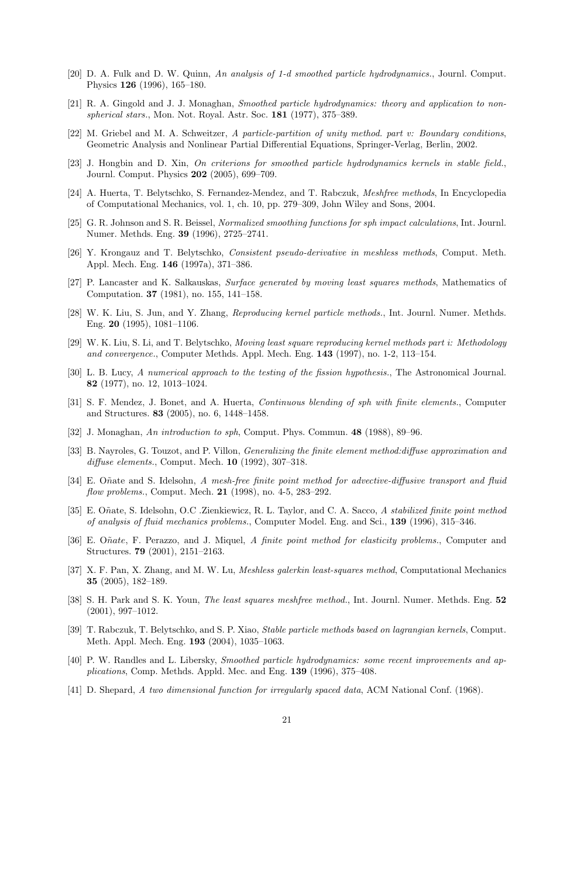- [20] D. A. Fulk and D. W. Quinn, An analysis of 1-d smoothed particle hydrodynamics., Journl. Comput. Physics 126 (1996), 165–180.
- [21] R. A. Gingold and J. J. Monaghan, Smoothed particle hydrodynamics: theory and application to nonspherical stars., Mon. Not. Royal. Astr. Soc. 181 (1977), 375–389.
- [22] M. Griebel and M. A. Schweitzer, A particle-partition of unity method. part v: Boundary conditions, Geometric Analysis and Nonlinear Partial Differential Equations, Springer-Verlag, Berlin, 2002.
- [23] J. Hongbin and D. Xin, On criterions for smoothed particle hydrodynamics kernels in stable field., Journl. Comput. Physics 202 (2005), 699–709.
- [24] A. Huerta, T. Belytschko, S. Fernandez-Mendez, and T. Rabczuk, Meshfree methods, In Encyclopedia of Computational Mechanics, vol. 1, ch. 10, pp. 279–309, John Wiley and Sons, 2004.
- [25] G. R. Johnson and S. R. Beissel, Normalized smoothing functions for sph impact calculations, Int. Journl. Numer. Methds. Eng. 39 (1996), 2725–2741.
- [26] Y. Krongauz and T. Belytschko, Consistent pseudo-derivative in meshless methods, Comput. Meth. Appl. Mech. Eng. 146 (1997a), 371–386.
- [27] P. Lancaster and K. Salkauskas, Surface generated by moving least squares methods, Mathematics of Computation. 37 (1981), no. 155, 141–158.
- [28] W. K. Liu, S. Jun, and Y. Zhang, Reproducing kernel particle methods., Int. Journl. Numer. Methds. Eng. 20 (1995), 1081–1106.
- [29] W. K. Liu, S. Li, and T. Belytschko, Moving least square reproducing kernel methods part i: Methodology and convergence., Computer Methds. Appl. Mech. Eng. 143 (1997), no. 1-2, 113–154.
- [30] L. B. Lucy, A numerical approach to the testing of the fission hypothesis., The Astronomical Journal. 82 (1977), no. 12, 1013–1024.
- [31] S. F. Mendez, J. Bonet, and A. Huerta, Continuous blending of sph with finite elements., Computer and Structures. 83 (2005), no. 6, 1448–1458.
- [32] J. Monaghan, An introduction to sph, Comput. Phys. Commun. 48 (1988), 89–96.
- [33] B. Nayroles, G. Touzot, and P. Villon, Generalizing the finite element method:diffuse approximation and diffuse elements., Comput. Mech. 10 (1992), 307–318.
- [34] E. Oñate and S. Idelsohn, A mesh-free finite point method for advective-diffusive transport and fluid flow problems., Comput. Mech. 21 (1998), no. 4-5, 283–292.
- [35] E. Oñate, S. Idelsohn, O.C .Zienkiewicz, R. L. Taylor, and C. A. Sacco, A stabilized finite point method of analysis of fluid mechanics problems., Computer Model. Eng. and Sci., 139 (1996), 315–346.
- [36] E. Oñate, F. Perazzo, and J. Miquel, A finite point method for elasticity problems., Computer and Structures. 79 (2001), 2151–2163.
- [37] X. F. Pan, X. Zhang, and M. W. Lu, Meshless galerkin least-squares method, Computational Mechanics 35 (2005), 182–189.
- [38] S. H. Park and S. K. Youn, The least squares meshfree method., Int. Journl. Numer. Methds. Eng. 52 (2001), 997–1012.
- [39] T. Rabczuk, T. Belytschko, and S. P. Xiao, Stable particle methods based on lagrangian kernels, Comput. Meth. Appl. Mech. Eng. 193 (2004), 1035–1063.
- [40] P. W. Randles and L. Libersky, Smoothed particle hydrodynamics: some recent improvements and applications, Comp. Methds. Appld. Mec. and Eng. 139 (1996), 375–408.
- [41] D. Shepard, A two dimensional function for irregularly spaced data, ACM National Conf. (1968).